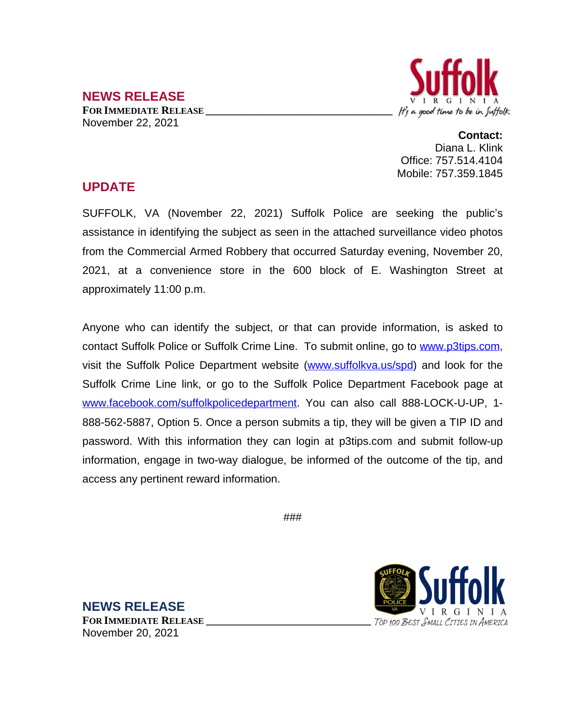## It's a good time to be in Suffolk

## **NEWS RELEASE FOR IMMEDIATE RELEASE \_\_\_\_\_\_\_\_\_\_\_\_\_\_\_\_\_\_\_\_\_\_\_\_\_\_\_\_\_\_\_\_\_\_** November 22, 2021

**Contact:** Diana L. Klink Office: 757.514.4104 Mobile: 757.359.1845

## **UPDATE**

SUFFOLK, VA (November 22, 2021) Suffolk Police are seeking the public's assistance in identifying the subject as seen in the attached surveillance video photos from the Commercial Armed Robbery that occurred Saturday evening, November 20, 2021, at a convenience store in the 600 block of E. Washington Street at approximately 11:00 p.m.

Anyone who can identify the subject, or that can provide information, is asked to contact Suffolk Police or Suffolk Crime Line. To submit online, go to [www.p3tips.com,](http://www.p3tips.com) visit the Suffolk Police Department website ([www.suffolkva.us/spd](http://www.suffolkva.us/spd)) and look for the Suffolk Crime Line link, or go to the Suffolk Police Department Facebook page at [www.facebook.com/suffolkpolicedepartment](http://www.facebook.com/suffolkpolicedepartment). You can also call 888-LOCK-U-UP, 1-888-562-5887, Option 5. Once a person submits a tip, they will be given a TIP ID and password. With this information they can login at p3tips.com and submit follow-up information, engage in two-way dialogue, be informed of the outcome of the tip, and access any pertinent reward information.

###

**NEWS RELEASE FOR IMMEDIATE RELEASE \_\_\_\_\_\_\_\_\_\_\_\_\_\_\_\_\_\_\_\_\_\_\_\_\_\_\_\_\_\_** November 20, 2021